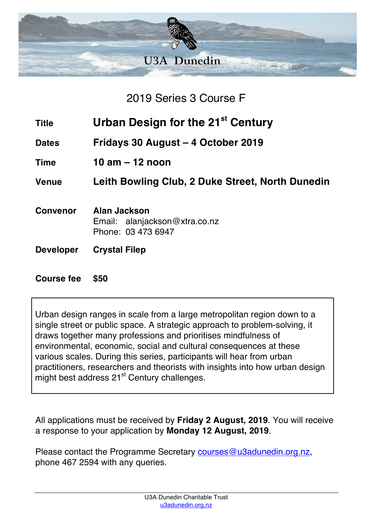

2019 Series 3 Course F

- **Title Urban Design for the 21st Century**
- **Dates Fridays 30 August – 4 October 2019**
- **Time 10 am – 12 noon**

**Venue Leith Bowling Club, 2 Duke Street, North Dunedin**

- **Convenor Alan Jackson** Email: alanjackson@xtra.co.nz Phone: 03 473 6947
- **Developer Crystal Filep**

## **Course fee \$50**

Urban design ranges in scale from a large metropolitan region down to a single street or public space. A strategic approach to problem-solving, it draws together many professions and prioritises mindfulness of environmental, economic, social and cultural consequences at these various scales. During this series, participants will hear from urban practitioners, researchers and theorists with insights into how urban design might best address 21<sup>st</sup> Century challenges.

All applications must be received by **Friday 2 August, 2019**. You will receive a response to your application by **Monday 12 August, 2019**.

Please contact the Programme Secretary courses@u3adunedin.org.nz, phone 467 2594 with any queries.